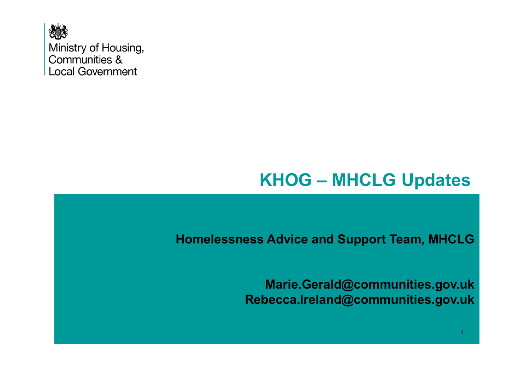

Ministry of Housing, Communities & **Local Government** 

# **KHOG – MHCLG Updates**

**Homelessness Advice and Support Team, MHCLG**

**Marie.Gerald@communities.gov.ukRebecca.Ireland@communities.gov.uk**

1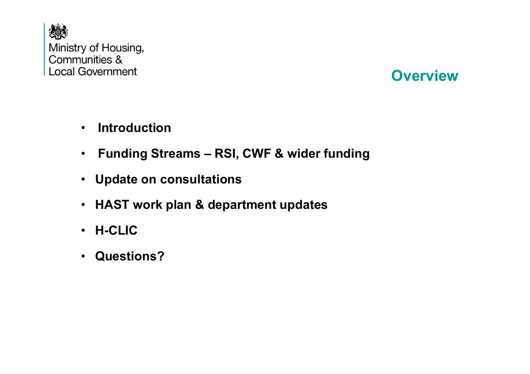

#### **Overview**

- •**Introduction**
- $\bullet$ **Funding Streams – RSI, CWF & wider funding**
- **Update on consultations**
- **HAST work plan & department updates**
- **H-CLIC**
- **Questions?**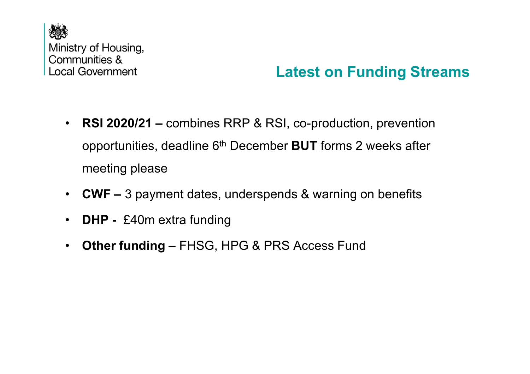

## **Latest on Funding Streams**

- • **RSI 2020/21 –** combines RRP & RSI, co-production, prevention opportunities, deadline 6th December **BUT** forms 2 weeks after meeting please
- **CWF –** 3 payment dates, underspends & warning on benefits
- $\bullet$ **DHP -** £40m extra funding
- $\bullet$ **Other funding –** FHSG, HPG & PRS Access Fund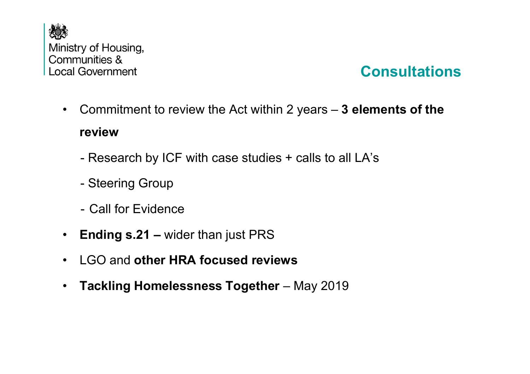

### **Consultations**

•Commitment to review the Act within 2 years – **3 elements of the** 

#### **review**

- Research by ICF with case studies + calls to all LA's
- -Steering Group
- -Call for Evidence
- •**Ending s.21 –** wider than just PRS
- •LGO and **other HRA focused reviews**
- $\bullet$ **Tackling Homelessness Together** - May 2019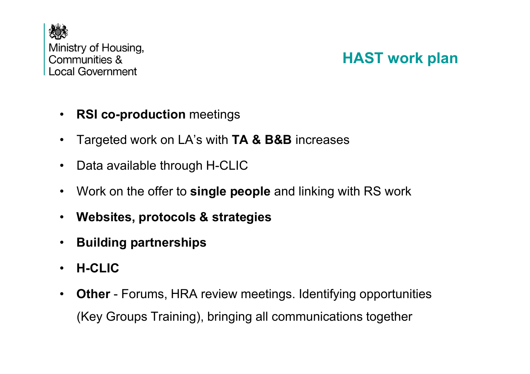

### **HAST work plan**

- •**RSI co-production** meetings
- •Targeted work on LA's with **TA & B&B** increases
- $\bullet$ Data available through H-CLIC
- •Work on the offer to **single people** and linking with RS work
- •**Websites, protocols & strategies**
- •**Building partnerships**
- •**H-CLIC**
- • **Other** - Forums, HRA review meetings. Identifying opportunities (Key Groups Training), bringing all communications together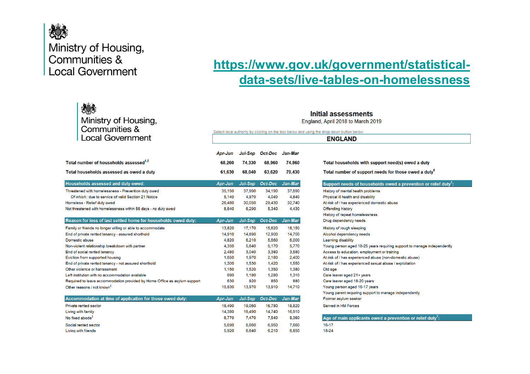

#### Ministry of Housing, Communities & **Local Government**

#### **[https://www.gov.uk/government/statistical](https://www.gov.uk/government/statistical-data-sets/live-tables-on-homelessness)data-sets/live-tables-on-homelessness**

| 人事<br>Ministry of Housing,<br>Communities &                               | Initial assessments<br>England, April 2018 to March 2019<br>Select local authority by clicking on the box below and using the drop-down button below:<br><b>ENGLAND</b> |                |                         |         |                                                                         |  |
|---------------------------------------------------------------------------|-------------------------------------------------------------------------------------------------------------------------------------------------------------------------|----------------|-------------------------|---------|-------------------------------------------------------------------------|--|
| <b>Local Government</b>                                                   |                                                                                                                                                                         |                |                         |         |                                                                         |  |
|                                                                           | Apr-Jun                                                                                                                                                                 |                | Jul-Sep Oct-Dec Jan-Mar |         |                                                                         |  |
| Total number of households assessed <sup>1,2</sup>                        | 68.260                                                                                                                                                                  | 74,330         | 68.960                  | 74.860  | Total households with support need(s) owed a duty                       |  |
| Total households assessed as owed a duty                                  | 61,630                                                                                                                                                                  | 68,040         | 63,620                  | 70,430  | Total number of support needs for those owed a duty <sup>5</sup>        |  |
| Households assessed and duty owed:                                        | Apr-Jun                                                                                                                                                                 | Jul-Sep        | Oct-Dec                 | Jan-Mar | Support needs of households owed a prevention or relief duty':          |  |
| Threatened with homelessness - Prevention duty owed                       | 35.150                                                                                                                                                                  | 37,990         | 34.190                  | 37,690  | History of mental health problems                                       |  |
| Of which: due to service of valid Section 21 Notice                       | 5.140                                                                                                                                                                   | 4.970          | 4.040                   | 4.840   | Physical ill health and disability                                      |  |
| Homeless - Relief duty owed                                               | 26,480                                                                                                                                                                  | 30,050         | 29,430                  | 32,740  | At risk of / has experienced domestic abuse                             |  |
| Not threatened with homelessness within 56 days - no duty owed            | 6.640                                                                                                                                                                   | 6.290          | 5.340                   | 4,430   | <b>Offending history</b>                                                |  |
|                                                                           |                                                                                                                                                                         |                |                         |         | History of repeat homelessness                                          |  |
| Reason for loss of last settled home for households owed duty:            | Apr-Jun                                                                                                                                                                 | <b>Jul-Sep</b> | Oct-Dec                 | Jan-Mar | Drug dependency needs                                                   |  |
| Family or friends no longer willing or able to accommodate                | 13.820                                                                                                                                                                  | 17.170         | 15,620                  | 18.150  | History of rough sleeping                                               |  |
| End of private rented tenancy - assured shorthold                         | 14,910                                                                                                                                                                  | 14,890         | 12,900                  | 14,700  | Alcohol dependency needs                                                |  |
| Domestic abuse                                                            | 4,820                                                                                                                                                                   | 6,210          | 5,560                   | 6,000   | Learning disability                                                     |  |
| Non-violent relationship breakdown with partner                           | 4.350                                                                                                                                                                   | 5.640          | 5.170                   | 5.770   | Young person aged 18-25 years requiring support to manage independently |  |
| End of social rented tenancy                                              | 2.480                                                                                                                                                                   | 3.040          | 3.380                   | 3.580   | Access to education, employment or training                             |  |
| Eviction from supported housing                                           | 1.650                                                                                                                                                                   | 1.970          | 2,180                   | 2,400   | At risk of / has experienced abuse (non-domestic abuse)                 |  |
| End of private rented tenancy - not assured shorthold                     | 1.300                                                                                                                                                                   | 1.530          | 1,420                   | 1.550   | At risk of / has experienced sexual abuse / exploitation                |  |
| Other violence or harrassment                                             | 1.150                                                                                                                                                                   | 1,520          | 1,350                   | 1,380   | Old age                                                                 |  |
| Left institution with no accommodation available                          | 690                                                                                                                                                                     | 1.180          | 1.280                   | 1.310   | Care leaver aged 21+ years                                              |  |
| Required to leave accommodation provided by Home Office as asylum support | 630                                                                                                                                                                     | 920            | 850                     | 880     | Care leaver aged 18-20 years                                            |  |
| Other reasons / not known <sup>b</sup>                                    | 15.830                                                                                                                                                                  | 13.970         | 13.910                  | 14.710  | Young person aged 16-17 years                                           |  |
|                                                                           |                                                                                                                                                                         |                |                         |         | Young parent requiring support to manage independently                  |  |
| Accommodation at time of application for those owed duty:                 | Apr-Jun                                                                                                                                                                 | Jul-Sep        | Oct-Dec                 | Jan-Mar | Former asylum seeker                                                    |  |
| Private rented sector                                                     | 18.490                                                                                                                                                                  | 19.060         | 16.780                  | 18,820  | Served in HM Forces                                                     |  |
| Living with family                                                        | 14,380                                                                                                                                                                  | 16,490         | 14,740                  | 16,910  |                                                                         |  |
| No fixed abode <sup>3</sup>                                               | 6.770                                                                                                                                                                   | 7.470          | 7.540                   | 8.360   | Age of main applicants owed a prevention or relief duty <sup>7</sup> :  |  |
| Social rented sector                                                      | 5.690                                                                                                                                                                   | 6.660          | 6,950                   | 7,660   | $16 - 17$                                                               |  |
| Living with friends                                                       | 5.920                                                                                                                                                                   | 6.640          | 6,210                   | 6,850   | 18-24                                                                   |  |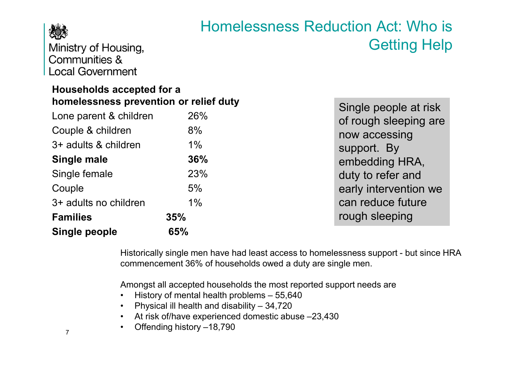

Homelessness Reduction Act: Who is Getting Help

Ministry of Housing, Communities & **Local Government** 

#### **Households accepted for a homelessness prevention or relief duty**

| nomelessness prevention or relief duty | Single people at risk |                       |
|----------------------------------------|-----------------------|-----------------------|
| Lone parent & children                 | 26%                   | of rough sleeping are |
| Couple & children                      | 8%                    | now accessing         |
| 3+ adults & children                   | 1%                    | support. By           |
| Single male                            | 36%                   | embedding HRA,        |
| Single female                          | 23%                   | duty to refer and     |
| Couple                                 | 5%                    | early intervention we |
| 3+ adults no children                  | 1%                    | can reduce future     |
| <b>Families</b>                        | 35%                   | rough sleeping        |
| <b>Single people</b>                   | 65%                   |                       |

Historically single men have had least access to homelessness support - but since HRA commencement 36% of households owed a duty are single men.

Amongst all accepted households the most reported support needs are

- History of mental health problems 55,640<br>· Dhuaisel ill health and dischility 34,739
- Physical ill health and disability 34,720
- At risk of/have experienced domestic abuse –23,430<br>…… Offending bioten: 19,799
- Offending history –18,790

7